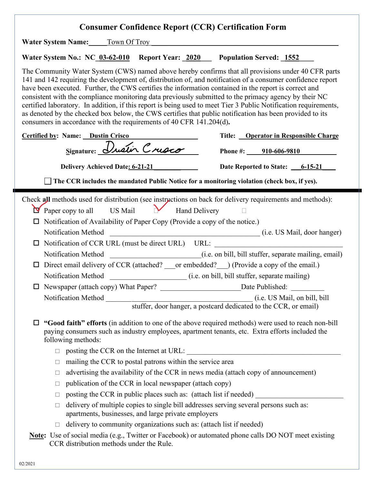| <b>Consumer Confidence Report (CCR) Certification Form</b>                                                                                                                                                                                                                                                                                                                                                                                                                                                                                                                                                                                                                                                                                                                                                                                                                                     |
|------------------------------------------------------------------------------------------------------------------------------------------------------------------------------------------------------------------------------------------------------------------------------------------------------------------------------------------------------------------------------------------------------------------------------------------------------------------------------------------------------------------------------------------------------------------------------------------------------------------------------------------------------------------------------------------------------------------------------------------------------------------------------------------------------------------------------------------------------------------------------------------------|
| <b>Water System Name:</b> Town Of Troy                                                                                                                                                                                                                                                                                                                                                                                                                                                                                                                                                                                                                                                                                                                                                                                                                                                         |
| Water System No.: NC 03-62-010 Report Year: 2020 Population Served: 1552                                                                                                                                                                                                                                                                                                                                                                                                                                                                                                                                                                                                                                                                                                                                                                                                                       |
| The Community Water System (CWS) named above hereby confirms that all provisions under 40 CFR parts<br>141 and 142 requiring the development of, distribution of, and notification of a consumer confidence report<br>have been executed. Further, the CWS certifies the information contained in the report is correct and<br>consistent with the compliance monitoring data previously submitted to the primacy agency by their NC<br>certified laboratory. In addition, if this report is being used to meet Tier 3 Public Notification requirements,<br>as denoted by the checked box below, the CWS certifies that public notification has been provided to its<br>consumers in accordance with the requirements of 40 CFR 141.204(d).                                                                                                                                                    |
| Title: Operator in Responsible Charge<br><b>Certified by: Name: Dustin Crisco</b>                                                                                                                                                                                                                                                                                                                                                                                                                                                                                                                                                                                                                                                                                                                                                                                                              |
| Signature: Dustin Crusco<br>Phone #: 910-606-9810                                                                                                                                                                                                                                                                                                                                                                                                                                                                                                                                                                                                                                                                                                                                                                                                                                              |
| Date Reported to State: 6-15-21<br><b>Delivery Achieved Date: 6-21-21</b>                                                                                                                                                                                                                                                                                                                                                                                                                                                                                                                                                                                                                                                                                                                                                                                                                      |
| The CCR includes the mandated Public Notice for a monitoring violation (check box, if yes).                                                                                                                                                                                                                                                                                                                                                                                                                                                                                                                                                                                                                                                                                                                                                                                                    |
| Check all methods used for distribution (see instructions on back for delivery requirements and methods):<br>$\triangleright$ Paper copy to all US Mail Mand Delivery<br>$\Box$ Notification of Availability of Paper Copy (Provide a copy of the notice.)<br>Notification Method<br>(i.e. US Mail, door hanger)<br>Notification of CCR URL (must be direct URL) URL:<br>□<br>(i.e. on bill, bill stuffer, separate mailing, email)<br>Notification Method<br>Direct email delivery of CCR (attached? or embedded? ) (Provide a copy of the email.)<br>□<br>$\Box$ Newspaper (attach copy) What Paper?<br>Date Published:<br>(i.e. US Mail, on bill, bill<br>"Good faith" efforts (in addition to one of the above required methods) were used to reach non-bill<br>ப<br>paying consumers such as industry employees, apartment tenants, etc. Extra efforts included the<br>following methods: |
| $\Box$ posting the CCR on the Internet at URL:<br>mailing the CCR to postal patrons within the service area<br>□<br>advertising the availability of the CCR in news media (attach copy of announcement)<br>□<br>publication of the CCR in local newspaper (attach copy)<br>□<br>posting the CCR in public places such as: (attach list if needed)<br>$\Box$<br>delivery of multiple copies to single bill addresses serving several persons such as:<br>apartments, businesses, and large private employers<br>delivery to community organizations such as: (attach list if needed)<br>□<br><b>Note:</b> Use of social media (e.g., Twitter or Facebook) or automated phone calls DO NOT meet existing<br>CCR distribution methods under the Rule.                                                                                                                                             |
| 02/2021                                                                                                                                                                                                                                                                                                                                                                                                                                                                                                                                                                                                                                                                                                                                                                                                                                                                                        |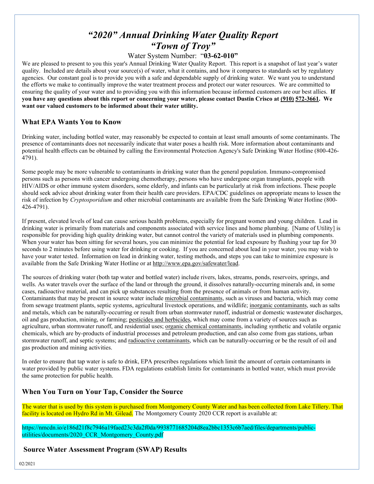# *"2020" Annual Drinking Water Quality Report "Town of Troy"*

# Water System Number: "**03-62-010"**

We are pleased to present to you this year's Annual Drinking Water Quality Report. This report is a snapshot of last year's water quality. Included are details about your source(s) of water, what it contains, and how it compares to standards set by regulatory agencies. Our constant goal is to provide you with a safe and dependable supply of drinking water. We want you to understand the efforts we make to continually improve the water treatment process and protect our water resources. We are committed to ensuring the quality of your water and to providing you with this information because informed customers are our best allies. **If you have any questions about this report or concerning your water, please contact Dustin Crisco at (910) 572-3661. We want our valued customers to be informed about their water utility.** 

### **What EPA Wants You to Know**

Drinking water, including bottled water, may reasonably be expected to contain at least small amounts of some contaminants. The presence of contaminants does not necessarily indicate that water poses a health risk. More information about contaminants and potential health effects can be obtained by calling the Environmental Protection Agency's Safe Drinking Water Hotline (800-426- 4791).

Some people may be more vulnerable to contaminants in drinking water than the general population. Immuno-compromised persons such as persons with cancer undergoing chemotherapy, persons who have undergone organ transplants, people with HIV/AIDS or other immune system disorders, some elderly, and infants can be particularly at risk from infections. These people should seek advice about drinking water from their health care providers. EPA/CDC guidelines on appropriate means to lessen the risk of infection by *Cryptosporidium* and other microbial contaminants are available from the Safe Drinking Water Hotline (800- 426-4791).

If present, elevated levels of lead can cause serious health problems, especially for pregnant women and young children. Lead in drinking water is primarily from materials and components associated with service lines and home plumbing. [Name of Utility] is responsible for providing high quality drinking water, but cannot control the variety of materials used in plumbing components. When your water has been sitting for several hours, you can minimize the potential for lead exposure by flushing your tap for 30 seconds to 2 minutes before using water for drinking or cooking. If you are concerned about lead in your water, you may wish to have your water tested. Information on lead in drinking water, testing methods, and steps you can take to minimize exposure is available from the Safe Drinking Water Hotline or at [http://www.epa.gov/safewater/lead.](http://www.epa.gov/safewater/lead)

The sources of drinking water (both tap water and bottled water) include rivers, lakes, streams, ponds, reservoirs, springs, and wells. As water travels over the surface of the land or through the ground, it dissolves naturally-occurring minerals and, in some cases, radioactive material, and can pick up substances resulting from the presence of animals or from human activity. Contaminants that may be present in source water include microbial contaminants, such as viruses and bacteria, which may come from sewage treatment plants, septic systems, agricultural livestock operations, and wildlife; inorganic contaminants, such as salts and metals, which can be naturally-occurring or result from urban stormwater runoff, industrial or domestic wastewater discharges, oil and gas production, mining, or farming; pesticides and herbicides, which may come from a variety of sources such as agriculture, urban stormwater runoff, and residential uses; organic chemical contaminants, including synthetic and volatile organic chemicals, which are by-products of industrial processes and petroleum production, and can also come from gas stations, urban stormwater runoff, and septic systems; and radioactive contaminants, which can be naturally-occurring or be the result of oil and gas production and mining activities.

In order to ensure that tap water is safe to drink, EPA prescribes regulations which limit the amount of certain contaminants in water provided by public water systems. FDA regulations establish limits for contaminants in bottled water, which must provide the same protection for public health.

# **When You Turn on Your Tap, Consider the Source**

The water that is used by this system is purchased from Montgomery County Water and has been collected from Lake Tillery. That facility is located on Hydro Rd in Mt. Gilead. The Montgomery County 2020 CCR report is available at:

https://nmcdn.io/e186d21f8c7946a19faed23c3da2f0da/9938771685204d8ea2bbc1353c6b7aed/files/departments/publicutilities/documents/2020\_CCR\_Montgomery\_County.pdf

### **Source Water Assessment Program (SWAP) Results**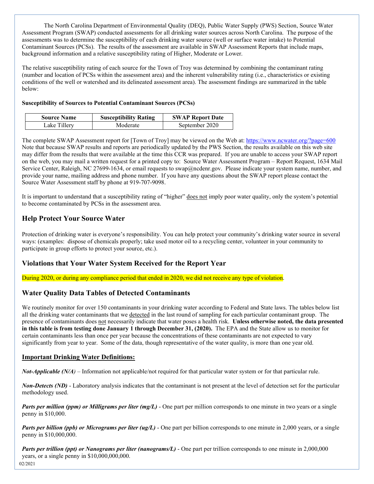The North Carolina Department of Environmental Quality (DEQ), Public Water Supply (PWS) Section, Source Water Assessment Program (SWAP) conducted assessments for all drinking water sources across North Carolina. The purpose of the assessments was to determine the susceptibility of each drinking water source (well or surface water intake) to Potential Contaminant Sources (PCSs). The results of the assessment are available in SWAP Assessment Reports that include maps, background information and a relative susceptibility rating of Higher, Moderate or Lower.

The relative susceptibility rating of each source for the Town of Troy was determined by combining the contaminant rating (number and location of PCSs within the assessment area) and the inherent vulnerability rating (i.e., characteristics or existing conditions of the well or watershed and its delineated assessment area). The assessment findings are summarized in the table below:

#### **Susceptibility of Sources to Potential Contaminant Sources (PCSs)**

| <b>Source Name</b> | <b>Susceptibility Rating</b> | <b>SWAP Report Date</b> |
|--------------------|------------------------------|-------------------------|
| Lake Tillerv       | Moderate                     | September 2020          |

The complete SWAP Assessment report for [Town of Troy] may be viewed on the Web at:<https://www.ncwater.org/?page=600> Note that because SWAP results and reports are periodically updated by the PWS Section, the results available on this web site may differ from the results that were available at the time this CCR was prepared. If you are unable to access your SWAP report on the web, you may mail a written request for a printed copy to: Source Water Assessment Program – Report Request, 1634 Mail Service Center, Raleigh, NC 27699-1634, or email requests to swap@ncdenr.gov. Please indicate your system name, number, and provide your name, mailing address and phone number. If you have any questions about the SWAP report please contact the Source Water Assessment staff by phone at 919-707-9098.

It is important to understand that a susceptibility rating of "higher" does not imply poor water quality, only the system's potential to become contaminated by PCSs in the assessment area.

# **Help Protect Your Source Water**

Protection of drinking water is everyone's responsibility. You can help protect your community's drinking water source in several ways: (examples: dispose of chemicals properly; take used motor oil to a recycling center, volunteer in your community to participate in group efforts to protect your source, etc.).

# **Violations that Your Water System Received for the Report Year**

During 2020, or during any compliance period that ended in 2020, we did not receive any type of violation.

# **Water Quality Data Tables of Detected Contaminants**

We routinely monitor for over 150 contaminants in your drinking water according to Federal and State laws. The tables below list all the drinking water contaminants that we detected in the last round of sampling for each particular contaminant group. The presence of contaminants does not necessarily indicate that water poses a health risk. **Unless otherwise noted, the data presented in this table is from testing done January 1 through December 31, (2020).** The EPA and the State allow us to monitor for certain contaminants less than once per year because the concentrations of these contaminants are not expected to vary significantly from year to year. Some of the data, though representative of the water quality, is more than one year old.

#### **Important Drinking Water Definitions:**

*Not-Applicable (N/A)* – Information not applicable/not required for that particular water system or for that particular rule.

*Non-Detects (ND)* - Laboratory analysis indicates that the contaminant is not present at the level of detection set for the particular methodology used.

*Parts per million (ppm) or Milligrams per liter (mg/L)* - One part per million corresponds to one minute in two years or a single penny in \$10,000.

*Parts per billion (ppb) or Micrograms per liter (ug/L)* - One part per billion corresponds to one minute in 2,000 years, or a single penny in \$10,000,000.

*Parts per trillion (ppt) or Nanograms per liter (nanograms/L)* - One part per trillion corresponds to one minute in 2,000,000 years, or a single penny in \$10,000,000,000.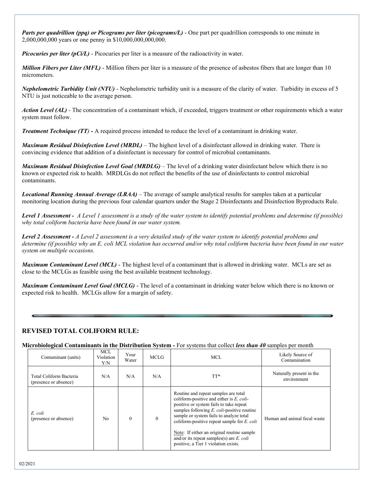*Parts per quadrillion (ppq) or Picograms per liter (picograms/L)* - One part per quadrillion corresponds to one minute in 2,000,000,000 years or one penny in \$10,000,000,000,000.

*Picocuries per liter (pCi/L)* - Picocuries per liter is a measure of the radioactivity in water.

*Million Fibers per Liter (MFL)* - Million fibers per liter is a measure of the presence of asbestos fibers that are longer than 10 micrometers.

*Nephelometric Turbidity Unit (NTU)* - Nephelometric turbidity unit is a measure of the clarity of water. Turbidity in excess of 5 NTU is just noticeable to the average person.

*Action Level (AL) -* The concentration of a contaminant which, if exceeded, triggers treatment or other requirements which a water system must follow.

*Treatment Technique (TT)* **-** A required process intended to reduce the level of a contaminant in drinking water.

*Maximum Residual Disinfection Level (MRDL)* – The highest level of a disinfectant allowed in drinking water. There is convincing evidence that addition of a disinfectant is necessary for control of microbial contaminants.

*Maximum Residual Disinfection Level Goal (MRDLG)* – The level of a drinking water disinfectant below which there is no known or expected risk to health. MRDLGs do not reflect the benefits of the use of disinfectants to control microbial contaminants.

*Locational Running Annual Average (LRAA)* – The average of sample analytical results for samples taken at a particular monitoring location during the previous four calendar quarters under the Stage 2 Disinfectants and Disinfection Byproducts Rule.

*Level 1 Assessment - A Level 1 assessment is a study of the water system to identify potential problems and determine (if possible) why total coliform bacteria have been found in our water system.*

*Level 2 Assessment - A Level 2 assessment is a very detailed study of the water system to identify potential problems and determine (if possible) why an E. coli MCL violation has occurred and/or why total coliform bacteria have been found in our water system on multiple occasions.*

*Maximum Contaminant Level (MCL)* - The highest level of a contaminant that is allowed in drinking water. MCLs are set as close to the MCLGs as feasible using the best available treatment technology.

*Maximum Contaminant Level Goal (MCLG)* - The level of a contaminant in drinking water below which there is no known or expected risk to health. MCLGs allow for a margin of safety.

#### **REVISED TOTAL COLIFORM RULE:**

**Microbiological Contaminants in the Distribution System -** For systems that collect *less than 40* samples per month

| Contaminant (units)                              | <b>MCL</b><br>Violation<br>Y/N | Your<br>Water | <b>MCLG</b>  | <b>MCL</b>                                                                                                                                                                                                                                                                                                                                                                                                        | Likely Source of<br>Contamination       |
|--------------------------------------------------|--------------------------------|---------------|--------------|-------------------------------------------------------------------------------------------------------------------------------------------------------------------------------------------------------------------------------------------------------------------------------------------------------------------------------------------------------------------------------------------------------------------|-----------------------------------------|
| Total Coliform Bacteria<br>(presence or absence) | N/A                            | N/A           | N/A          | TT*                                                                                                                                                                                                                                                                                                                                                                                                               | Naturally present in the<br>environment |
| E. coli<br>(presence or absence)                 | No                             | $\theta$      | $\mathbf{0}$ | Routine and repeat samples are total<br>coliform-positive and either is $E$ , coli-<br>positive or system fails to take repeat<br>samples following $E$ , coli-positive routine<br>sample or system fails to analyze total<br>coliform-positive repeat sample for $E$ , coli<br>Note: If either an original routine sample<br>and/or its repeat samples(s) are $E$ . coli<br>positive, a Tier 1 violation exists. | Human and animal fecal waste            |